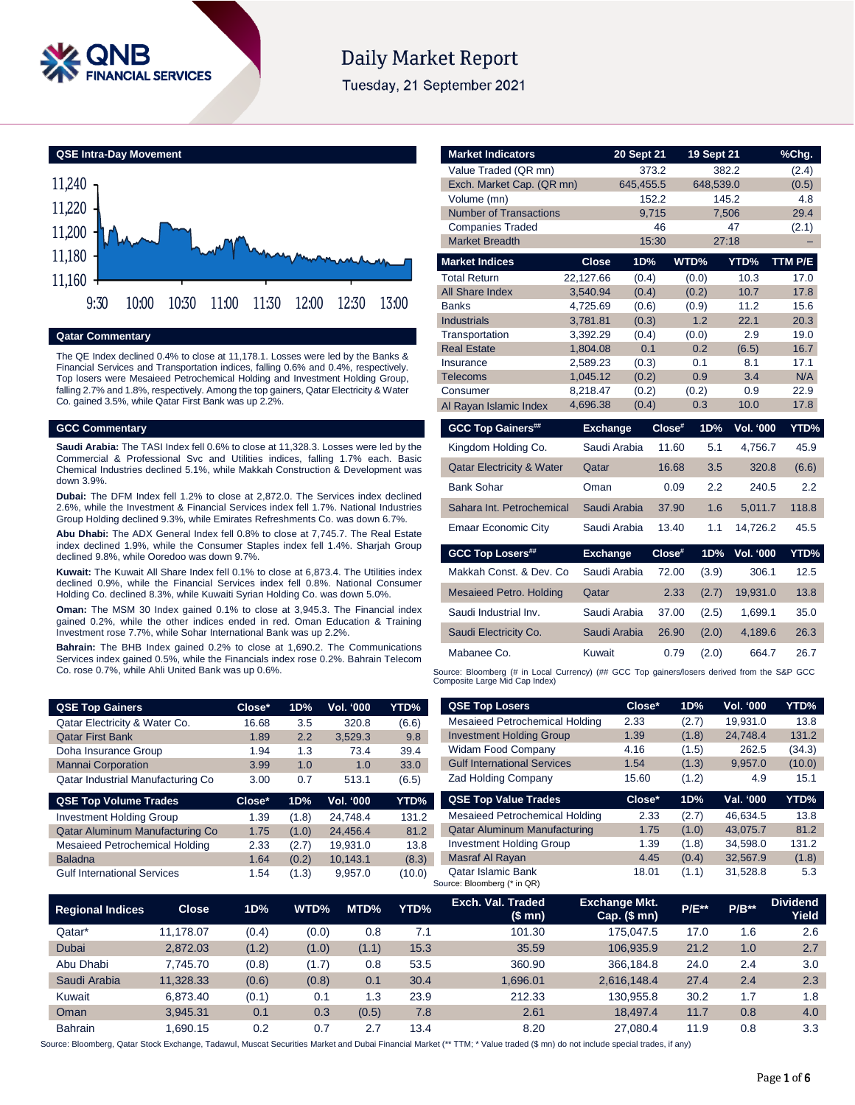

# **Daily Market Report**

Tuesday, 21 September 2021



## **Qatar Commentary**

The QE Index declined 0.4% to close at 11,178.1. Losses were led by the Banks & Financial Services and Transportation indices, falling 0.6% and 0.4%, respectively. Top losers were Mesaieed Petrochemical Holding and Investment Holding Group, falling 2.7% and 1.8%, respectively. Among the top gainers, Qatar Electricity & Water Co. gained 3.5%, while Qatar First Bank was up 2.2%.

#### **GCC Commentary**

**Saudi Arabia:** The TASI Index fell 0.6% to close at 11,328.3. Losses were led by the Commercial & Professional Svc and Utilities indices, falling 1.7% each. Basic Chemical Industries declined 5.1%, while Makkah Construction & Development was down 3.9%.

**Dubai:** The DFM Index fell 1.2% to close at 2,872.0. The Services index declined 2.6%, while the Investment & Financial Services index fell 1.7%. National Industries Group Holding declined 9.3%, while Emirates Refreshments Co. was down 6.7%.

**Abu Dhabi:** The ADX General Index fell 0.8% to close at 7,745.7. The Real Estate index declined 1.9%, while the Consumer Staples index fell 1.4%. Sharjah Group declined 9.8%, while Ooredoo was down 9.7%.

**Kuwait:** The Kuwait All Share Index fell 0.1% to close at 6,873.4. The Utilities index declined 0.9%, while the Financial Services index fell 0.8%. National Consumer Holding Co. declined 8.3%, while Kuwaiti Syrian Holding Co. was down 5.0%.

**Oman:** The MSM 30 Index gained 0.1% to close at 3,945.3. The Financial index gained 0.2%, while the other indices ended in red. Oman Education & Training Investment rose 7.7%, while Sohar International Bank was up 2.2%.

**Bahrain:** The BHB Index gained 0.2% to close at 1,690.2. The Communications Services index gained 0.5%, while the Financials index rose 0.2%. Bahrain Telecom Co. rose 0.7%, while Ahli United Bank was up 0.6%.

Gulf International Services 1.54 (1.3) 9,957.0 (10.0)

| <b>Market Indicators</b>             |                      | 20 Sept 21     |                | 19 Sept 21              | %Chg.       |
|--------------------------------------|----------------------|----------------|----------------|-------------------------|-------------|
| Value Traded (QR mn)                 |                      | 373.2          |                | 382.2                   | (2.4)       |
| Exch. Market Cap. (QR mn)            |                      | 645,455.5      |                | 648,539.0               | (0.5)       |
| Volume (mn)                          |                      | 152.2          |                | 145.2                   | 4.8         |
| <b>Number of Transactions</b>        |                      | 9,715          |                | 7,506                   | 29.4        |
| <b>Companies Traded</b>              |                      | 46             |                | 47                      | (2.1)       |
| <b>Market Breadth</b>                |                      | 15:30          |                | 27:18                   |             |
| <b>Market Indices</b>                | <b>Close</b>         | 1D%            | WTD%           | YTD%                    | TTM P/E     |
| <b>Total Return</b>                  | 22,127.66            | (0.4)          | (0.0)          | 10.3                    | 17.0        |
| All Share Index                      | 3,540.94             | (0.4)          | (0.2)          | 10.7                    | 17.8        |
| <b>Banks</b>                         | 4.725.69             | (0.6)          | (0.9)          | 11.2                    | 15.6        |
| <b>Industrials</b>                   | 3,781.81             | (0.3)          | 1.2            | 22.1                    | 20.3        |
| Transportation                       | 3,392.29             | (0.4)          | (0.0)          | 2.9                     | 19.0        |
| <b>Real Estate</b>                   | 1.804.08             | 0.1            | 0.2            | (6.5)                   | 16.7        |
| Insurance<br><b>Telecoms</b>         | 2,589.23<br>1,045.12 | (0.3)<br>(0.2) | 0.1<br>0.9     | 8.1<br>3.4              | 17.1<br>N/A |
| Consumer                             | 8,218.47             | (0.2)          | (0.2)          | 0.9                     | 22.9        |
| Al Rayan Islamic Index               | 4,696.38             | (0.4)          | 0.3            | 10.0                    | 17.8        |
|                                      |                      |                | Close#         |                         |             |
| <b>GCC Top Gainers##</b>             | <b>Exchange</b>      |                |                | <b>Vol. '000</b><br>1D% | YTD%        |
| Kingdom Holding Co.                  |                      | Saudi Arabia   | 11.60          | 5.1<br>4.756.7          | 45.9        |
| <b>Qatar Electricity &amp; Water</b> | Qatar                |                | 16.68          | 3.5<br>320.8            | (6.6)       |
| <b>Bank Sohar</b>                    | Oman                 |                | 0.09           | 2.2<br>240.5            | 2.2         |
| Sahara Int. Petrochemical            |                      | Saudi Arabia   | 37.90          | 1.6<br>5,011.7          | 118.8       |
| <b>Emaar Economic City</b>           |                      | Saudi Arabia   | 13.40          | 14,726.2<br>1.1         | 45.5        |
| <b>GCC Top Losers##</b>              | <b>Exchange</b>      |                | Close#         | <b>Vol. '000</b><br>1D% | YTD%        |
| Makkah Const, & Dev. Co.             |                      | Saudi Arabia   | 72.00          | 306.1<br>(3.9)          | 12.5        |
| <b>Mesaieed Petro. Holding</b>       | Qatar                |                | 2.33           | 19,931.0<br>(2.7)       | 13.8        |
|                                      |                      |                |                |                         | 35.0        |
| Saudi Industrial Inv.                |                      | Saudi Arabia   | 37.00<br>(2.5) | 1,699.1                 |             |
| Saudi Electricity Co.                |                      | Saudi Arabia   | 26.90          | 4,189.6<br>(2.0)        | 26.3        |
| Mabanee Co.                          | Kuwait               |                | 0.79           | 664.7<br>(2.0)          | 26.7        |

Qatar Islamic Bank 18.01 (1.1) 31,528.8 5.3

| <b>QSE Top Gainers</b>            | Close* | 1D%   | <b>Vol. '000</b> | YTD%  | <b>QSE Top Losers</b>               | Close* | 1D%   | <b>Vol. '000</b> | YTD%   |
|-----------------------------------|--------|-------|------------------|-------|-------------------------------------|--------|-------|------------------|--------|
| Qatar Electricity & Water Co.     | 16.68  | 3.5   | 320.8            | (6.6) | Mesaieed Petrochemical Holding      | 2.33   | (2.7) | 19.931.0         | 13.8   |
| <b>Qatar First Bank</b>           | 1.89   | 2.2   | 3,529.3          | 9.8   | <b>Investment Holding Group</b>     | 1.39   | (1.8) | 24.748.4         | 131.2  |
| Doha Insurance Group              | 1.94   | 1.3   | 73.4             | 39.4  | <b>Widam Food Company</b>           | 4.16   | (1.5) | 262.5            | (34.3) |
| <b>Mannai Corporation</b>         | 3.99   | 1.0   | 1.0              | 33.0  | <b>Gulf International Services</b>  | 1.54   | (1.3) | 9,957.0          | (10.0) |
| Qatar Industrial Manufacturing Co | 3.00   | 0.7   | 513.1            | (6.5) | <b>Zad Holding Company</b>          | 15.60  | (1.2) | 4.9              | 15.1   |
| <b>QSE Top Volume Trades</b>      | Close* | 1D%   | Vol. '000        | YTD%  | <b>QSE Top Value Trades</b>         | Close* | 1D%   | Val. '000        | YTD%   |
| <b>Investment Holding Group</b>   | 1.39   | (1.8) | 24.748.4         | 131.2 | Mesaieed Petrochemical Holding      | 2.33   | (2.7) | 46.634.5         | 13.8   |
| Qatar Aluminum Manufacturing Co   | 1.75   | (1.0) | 24.456.4         | 81.2  | <b>Qatar Aluminum Manufacturing</b> | 1.75   | (1.0) | 43.075.7         | 81.2   |
| Mesaieed Petrochemical Holding    | 2.33   | (2.7) | 19.931.0         | 13.8  | <b>Investment Holding Group</b>     | 1.39   | (1.8) | 34.598.0         | 131.2  |
| <b>Baladna</b>                    | 1.64   | (0.2) | 10.143.1         | (8.3) | Masraf Al Rayan                     | 4.45   | (0.4) | 32.567.9         | (1.8)  |

|                         |                    |       | $\overline{\phantom{a}}$ | $\sim$ , $\sim$ $\sim$ |      | Source: Bloomberg (* in QR) |                                      |              |         |                          |
|-------------------------|--------------------|-------|--------------------------|------------------------|------|-----------------------------|--------------------------------------|--------------|---------|--------------------------|
| <b>Regional Indices</b> | Close <sub>1</sub> | 1D%   | WTD%                     | MTD%                   | YTD% | Exch. Val. Traded<br>(\$mn) | <b>Exchange Mkt.</b><br>Cap. $($mn)$ | <b>P/E**</b> | $P/B**$ | <b>Dividend</b><br>Yield |
| Qatar*                  | 11.178.07          | (0.4) | (0.0)                    | 0.8                    | 7.1  | 101.30                      | 175.047.5                            | 17.0         | 1.6     | 2.6                      |
| <b>Dubai</b>            | 2.872.03           | (1.2) | (1.0)                    | (1.1)                  | 15.3 | 35.59                       | 106.935.9                            | 21.2         | 1.0     | 2.7                      |
| Abu Dhabi               | 7.745.70           | (0.8) | (1.7)                    | 0.8                    | 53.5 | 360.90                      | 366.184.8                            | 24.0         | 2.4     | 3.0                      |
| Saudi Arabia            | 11,328.33          | (0.6) | (0.8)                    | 0.1                    | 30.4 | 1.696.01                    | 2,616,148.4                          | 27.4         | 2.4     | 2.3                      |
| Kuwait                  | 6.873.40           | (0.1) | 0.1                      | 1.3                    | 23.9 | 212.33                      | 130.955.8                            | 30.2         | 1.7     | 1.8                      |
| Oman                    | 3.945.31           | 0.1   | 0.3                      | (0.5)                  | 7.8  | 2.61                        | 18.497.4                             | 11.7         | 0.8     | 4.0                      |
| <b>Bahrain</b>          | .690.15            | 0.2   | 0.7                      | 2.7                    | 13.4 | 8.20                        | 27.080.4                             | 11.9         | 0.8     | 3.3                      |

Source: Bloomberg, Qatar Stock Exchange, Tadawul, Muscat Securities Market and Dubai Financial Market (\*\* TTM; \* Value traded (\$ mn) do not include special trades, if any)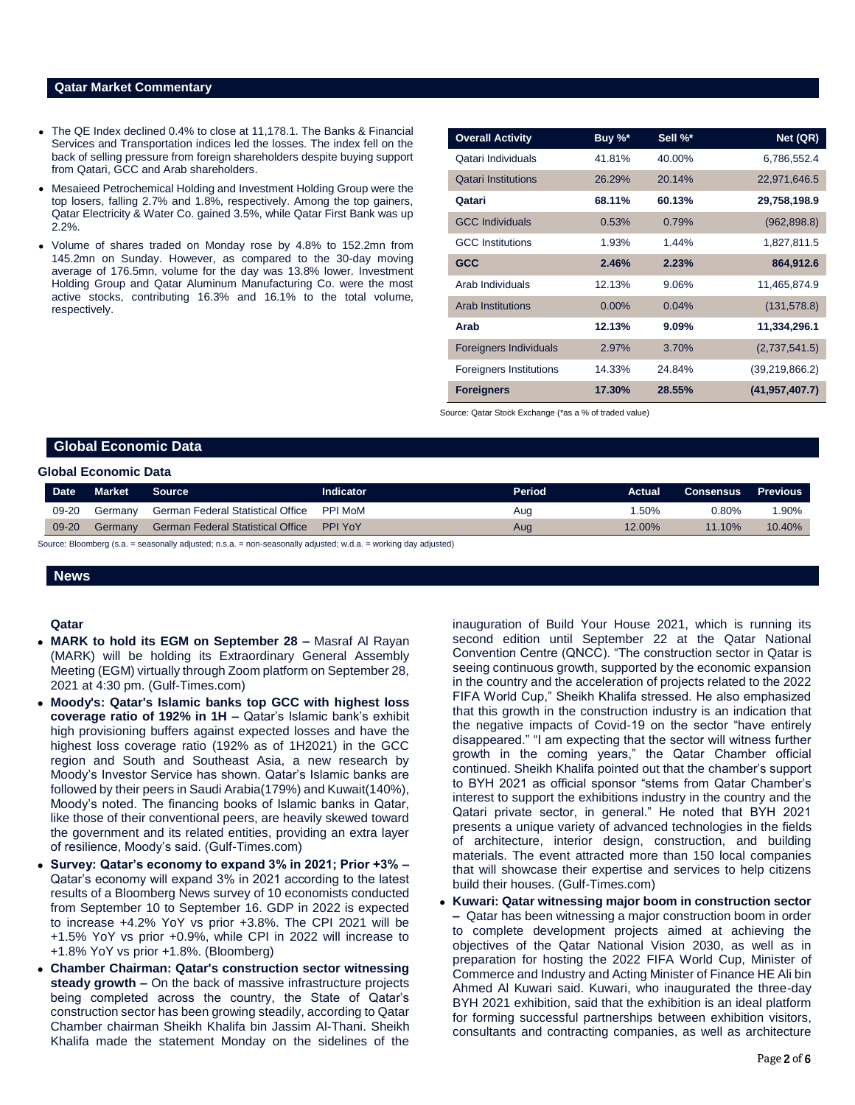## **Qatar Market Commentary**

- The QE Index declined 0.4% to close at 11,178.1. The Banks & Financial Services and Transportation indices led the losses. The index fell on the back of selling pressure from foreign shareholders despite buying support from Qatari, GCC and Arab shareholders.
- Mesaieed Petrochemical Holding and Investment Holding Group were the top losers, falling 2.7% and 1.8%, respectively. Among the top gainers, Qatar Electricity & Water Co. gained 3.5%, while Qatar First Bank was up 2.2%.
- Volume of shares traded on Monday rose by 4.8% to 152.2mn from 145.2mn on Sunday. However, as compared to the 30-day moving average of 176.5mn, volume for the day was 13.8% lower. Investment Holding Group and Qatar Aluminum Manufacturing Co. were the most active stocks, contributing 16.3% and 16.1% to the total volume, respectively.

| <b>Overall Activity</b>        | Buy %*    | Sell %* | Net (QR)         |
|--------------------------------|-----------|---------|------------------|
| Qatari Individuals             | 41.81%    | 40.00%  | 6,786,552.4      |
| <b>Qatari Institutions</b>     | 26.29%    | 20.14%  | 22,971,646.5     |
| Qatari                         | 68.11%    | 60.13%  | 29,758,198.9     |
| <b>GCC Individuals</b>         | 0.53%     | 0.79%   | (962, 898.8)     |
| <b>GCC</b> Institutions        | 1.93%     | 1.44%   | 1,827,811.5      |
| <b>GCC</b>                     | 2.46%     | 2.23%   | 864,912.6        |
| Arab Individuals               | 12.13%    | 9.06%   | 11,465,874.9     |
| <b>Arab Institutions</b>       | 0.00%     | 0.04%   | (131, 578.8)     |
| Arab                           | 12.13%    | 9.09%   | 11,334,296.1     |
| <b>Foreigners Individuals</b>  | 2.97%     | 3.70%   | (2,737,541.5)    |
| <b>Foreigners Institutions</b> | 14.33%    | 24.84%  | (39,219,866.2)   |
| <b>Foreigners</b>              | $17.30\%$ | 28.55%  | (41, 957, 407.7) |

Source: Qatar Stock Exchange (\*as a % of traded value)

## **Global Economic Data**

### **Global Economic Data**

| Date <sup>1</sup> | <b>Market</b> | <b>Source</b>                                    | <b>Indicator</b> | Period | <b>Actual</b> | Consensus | Previous |
|-------------------|---------------|--------------------------------------------------|------------------|--------|---------------|-----------|----------|
| 09-20             | Germany       | German Federal Statistical Office                | PPI MoM          | Aug    | .50%          | 0.80%     | $1.90\%$ |
| 09-20             | Germanv       | <b>German Federal Statistical Office PPI YoY</b> |                  | Aug    | 12.00%        | 11.10%    | 10.40%   |

Source: Bloomberg (s.a. = seasonally adjusted; n.s.a. = non-seasonally adjusted; w.d.a. = working day adjusted)

### **News**

#### **Qatar**

- **MARK to hold its EGM on September 28 –** Masraf Al Rayan (MARK) will be holding its Extraordinary General Assembly Meeting (EGM) virtually through Zoom platform on September 28, 2021 at 4:30 pm. (Gulf-Times.com)
- **Moody's: Qatar's Islamic banks top GCC with highest loss coverage ratio of 192% in 1H –** Qatar's Islamic bank's exhibit high provisioning buffers against expected losses and have the highest loss coverage ratio (192% as of 1H2021) in the GCC region and South and Southeast Asia, a new research by Moody's Investor Service has shown. Qatar's Islamic banks are followed by their peers in Saudi Arabia(179%) and Kuwait(140%), Moody's noted. The financing books of Islamic banks in Qatar, like those of their conventional peers, are heavily skewed toward the government and its related entities, providing an extra layer of resilience, Moody's said. (Gulf-Times.com)
- **Survey: Qatar's economy to expand 3% in 2021; Prior +3% –** Qatar's economy will expand 3% in 2021 according to the latest results of a Bloomberg News survey of 10 economists conducted from September 10 to September 16. GDP in 2022 is expected to increase +4.2% YoY vs prior +3.8%. The CPI 2021 will be +1.5% YoY vs prior +0.9%, while CPI in 2022 will increase to +1.8% YoY vs prior +1.8%. (Bloomberg)
- **Chamber Chairman: Qatar's construction sector witnessing steady growth –** On the back of massive infrastructure projects being completed across the country, the State of Qatar's construction sector has been growing steadily, according to Qatar Chamber chairman Sheikh Khalifa bin Jassim Al-Thani. Sheikh Khalifa made the statement Monday on the sidelines of the

inauguration of Build Your House 2021, which is running its second edition until September 22 at the Qatar National Convention Centre (QNCC). "The construction sector in Qatar is seeing continuous growth, supported by the economic expansion in the country and the acceleration of projects related to the 2022 FIFA World Cup," Sheikh Khalifa stressed. He also emphasized that this growth in the construction industry is an indication that the negative impacts of Covid-19 on the sector "have entirely disappeared." "I am expecting that the sector will witness further growth in the coming years," the Qatar Chamber official continued. Sheikh Khalifa pointed out that the chamber's support to BYH 2021 as official sponsor "stems from Qatar Chamber's interest to support the exhibitions industry in the country and the Qatari private sector, in general." He noted that BYH 2021 presents a unique variety of advanced technologies in the fields of architecture, interior design, construction, and building materials. The event attracted more than 150 local companies that will showcase their expertise and services to help citizens build their houses. (Gulf-Times.com)

 **Kuwari: Qatar witnessing major boom in construction sector –** Qatar has been witnessing a major construction boom in order to complete development projects aimed at achieving the objectives of the Qatar National Vision 2030, as well as in preparation for hosting the 2022 FIFA World Cup, Minister of Commerce and Industry and Acting Minister of Finance HE Ali bin Ahmed Al Kuwari said. Kuwari, who inaugurated the three-day BYH 2021 exhibition, said that the exhibition is an ideal platform for forming successful partnerships between exhibition visitors, consultants and contracting companies, as well as architecture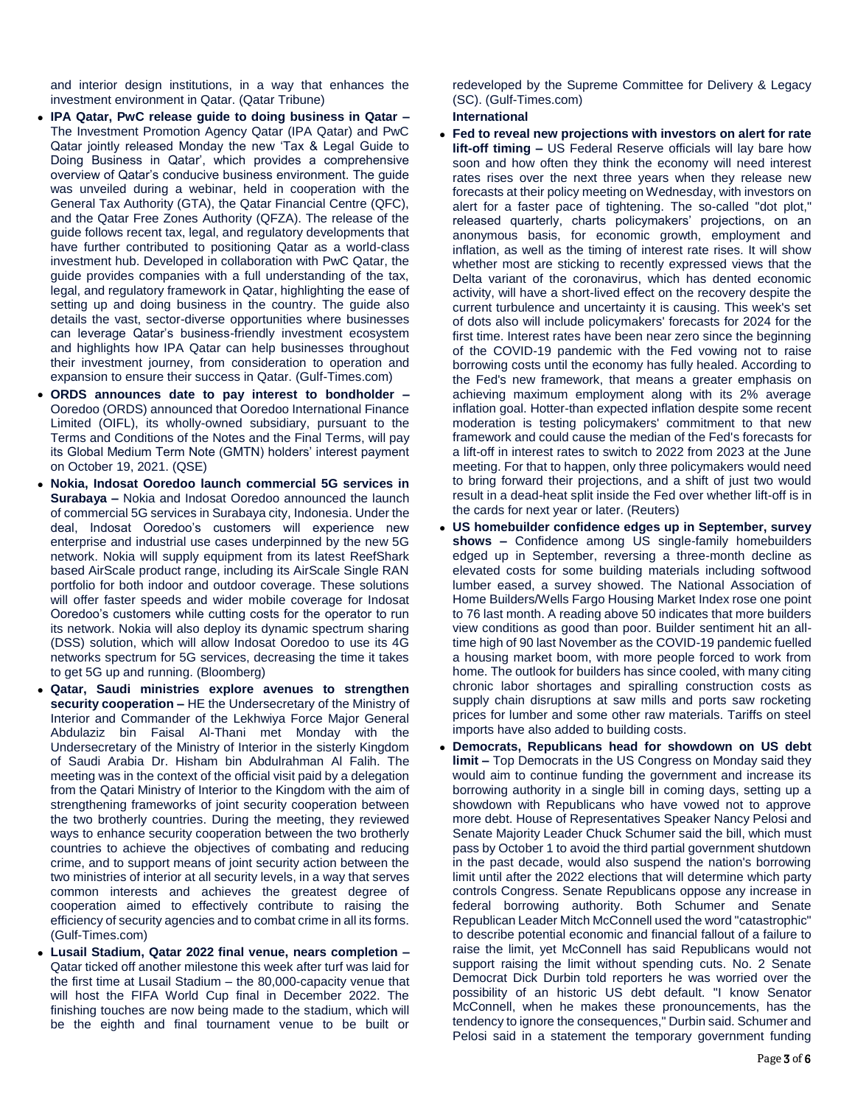and interior design institutions, in a way that enhances the investment environment in Qatar. (Qatar Tribune)

- **IPA Qatar, PwC release guide to doing business in Qatar –** The Investment Promotion Agency Qatar (IPA Qatar) and PwC Qatar jointly released Monday the new 'Tax & Legal Guide to Doing Business in Qatar', which provides a comprehensive overview of Qatar's conducive business environment. The guide was unveiled during a webinar, held in cooperation with the General Tax Authority (GTA), the Qatar Financial Centre (QFC), and the Qatar Free Zones Authority (QFZA). The release of the guide follows recent tax, legal, and regulatory developments that have further contributed to positioning Qatar as a world-class investment hub. Developed in collaboration with PwC Qatar, the guide provides companies with a full understanding of the tax, legal, and regulatory framework in Qatar, highlighting the ease of setting up and doing business in the country. The guide also details the vast, sector-diverse opportunities where businesses can leverage Qatar's business-friendly investment ecosystem and highlights how IPA Qatar can help businesses throughout their investment journey, from consideration to operation and expansion to ensure their success in Qatar. (Gulf-Times.com)
- **ORDS announces date to pay interest to bondholder –** Ooredoo (ORDS) announced that Ooredoo International Finance Limited (OIFL), its wholly-owned subsidiary, pursuant to the Terms and Conditions of the Notes and the Final Terms, will pay its Global Medium Term Note (GMTN) holders' interest payment on October 19, 2021. (QSE)
- **Nokia, Indosat Ooredoo launch commercial 5G services in Surabaya –** Nokia and Indosat Ooredoo announced the launch of commercial 5G services in Surabaya city, Indonesia. Under the deal, Indosat Ooredoo's customers will experience new enterprise and industrial use cases underpinned by the new 5G network. Nokia will supply equipment from its latest ReefShark based AirScale product range, including its AirScale Single RAN portfolio for both indoor and outdoor coverage. These solutions will offer faster speeds and wider mobile coverage for Indosat Ooredoo's customers while cutting costs for the operator to run its network. Nokia will also deploy its dynamic spectrum sharing (DSS) solution, which will allow Indosat Ooredoo to use its 4G networks spectrum for 5G services, decreasing the time it takes to get 5G up and running. (Bloomberg)
- **Qatar, Saudi ministries explore avenues to strengthen security cooperation –** HE the Undersecretary of the Ministry of Interior and Commander of the Lekhwiya Force Major General Abdulaziz bin Faisal Al-Thani met Monday with the Undersecretary of the Ministry of Interior in the sisterly Kingdom of Saudi Arabia Dr. Hisham bin Abdulrahman Al Falih. The meeting was in the context of the official visit paid by a delegation from the Qatari Ministry of Interior to the Kingdom with the aim of strengthening frameworks of joint security cooperation between the two brotherly countries. During the meeting, they reviewed ways to enhance security cooperation between the two brotherly countries to achieve the objectives of combating and reducing crime, and to support means of joint security action between the two ministries of interior at all security levels, in a way that serves common interests and achieves the greatest degree of cooperation aimed to effectively contribute to raising the efficiency of security agencies and to combat crime in all its forms. (Gulf-Times.com)
- **Lusail Stadium, Qatar 2022 final venue, nears completion –** Qatar ticked off another milestone this week after turf was laid for the first time at Lusail Stadium – the 80,000-capacity venue that will host the FIFA World Cup final in December 2022. The finishing touches are now being made to the stadium, which will be the eighth and final tournament venue to be built or

redeveloped by the Supreme Committee for Delivery & Legacy (SC). (Gulf-Times.com)

## **International**

- **Fed to reveal new projections with investors on alert for rate lift-off timing –** US Federal Reserve officials will lay bare how soon and how often they think the economy will need interest rates rises over the next three years when they release new forecasts at their policy meeting on Wednesday, with investors on alert for a faster pace of tightening. The so-called "dot plot," released quarterly, charts policymakers' projections, on an anonymous basis, for economic growth, employment and inflation, as well as the timing of interest rate rises. It will show whether most are sticking to recently expressed views that the Delta variant of the coronavirus, which has dented economic activity, will have a short-lived effect on the recovery despite the current turbulence and uncertainty it is causing. This week's set of dots also will include policymakers' forecasts for 2024 for the first time. Interest rates have been near zero since the beginning of the COVID-19 pandemic with the Fed vowing not to raise borrowing costs until the economy has fully healed. According to the Fed's new framework, that means a greater emphasis on achieving maximum employment along with its 2% average inflation goal. Hotter-than expected inflation despite some recent moderation is testing policymakers' commitment to that new framework and could cause the median of the Fed's forecasts for a lift-off in interest rates to switch to 2022 from 2023 at the June meeting. For that to happen, only three policymakers would need to bring forward their projections, and a shift of just two would result in a dead-heat split inside the Fed over whether lift-off is in the cards for next year or later. (Reuters)
- **US homebuilder confidence edges up in September, survey shows –** Confidence among US single-family homebuilders edged up in September, reversing a three-month decline as elevated costs for some building materials including softwood lumber eased, a survey showed. The National Association of Home Builders/Wells Fargo Housing Market Index rose one point to 76 last month. A reading above 50 indicates that more builders view conditions as good than poor. Builder sentiment hit an alltime high of 90 last November as the COVID-19 pandemic fuelled a housing market boom, with more people forced to work from home. The outlook for builders has since cooled, with many citing chronic labor shortages and spiralling construction costs as supply chain disruptions at saw mills and ports saw rocketing prices for lumber and some other raw materials. Tariffs on steel imports have also added to building costs.
- **Democrats, Republicans head for showdown on US debt limit –** Top Democrats in the US Congress on Monday said they would aim to continue funding the government and increase its borrowing authority in a single bill in coming days, setting up a showdown with Republicans who have vowed not to approve more debt. House of Representatives Speaker Nancy Pelosi and Senate Majority Leader Chuck Schumer said the bill, which must pass by October 1 to avoid the third partial government shutdown in the past decade, would also suspend the nation's borrowing limit until after the 2022 elections that will determine which party controls Congress. Senate Republicans oppose any increase in federal borrowing authority. Both Schumer and Senate Republican Leader Mitch McConnell used the word "catastrophic" to describe potential economic and financial fallout of a failure to raise the limit, yet McConnell has said Republicans would not support raising the limit without spending cuts. No. 2 Senate Democrat Dick Durbin told reporters he was worried over the possibility of an historic US debt default. "I know Senator McConnell, when he makes these pronouncements, has the tendency to ignore the consequences," Durbin said. Schumer and Pelosi said in a statement the temporary government funding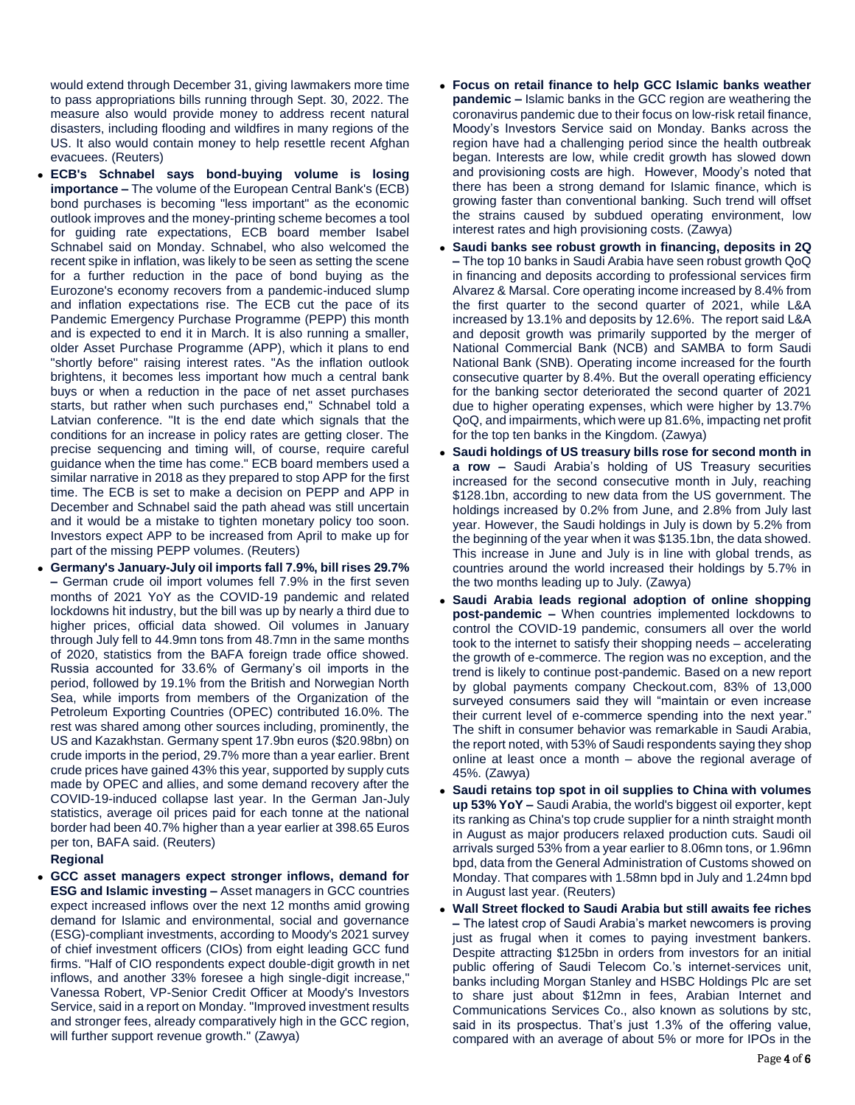would extend through December 31, giving lawmakers more time to pass appropriations bills running through Sept. 30, 2022. The measure also would provide money to address recent natural disasters, including flooding and wildfires in many regions of the US. It also would contain money to help resettle recent Afghan evacuees. (Reuters)

- **ECB's Schnabel says bond-buying volume is losing importance –** The volume of the European Central Bank's (ECB) bond purchases is becoming "less important" as the economic outlook improves and the money-printing scheme becomes a tool for guiding rate expectations, ECB board member Isabel Schnabel said on Monday. Schnabel, who also welcomed the recent spike in inflation, was likely to be seen as setting the scene for a further reduction in the pace of bond buying as the Eurozone's economy recovers from a pandemic-induced slump and inflation expectations rise. The ECB cut the pace of its Pandemic Emergency Purchase Programme (PEPP) this month and is expected to end it in March. It is also running a smaller, older Asset Purchase Programme (APP), which it plans to end "shortly before" raising interest rates. "As the inflation outlook brightens, it becomes less important how much a central bank buys or when a reduction in the pace of net asset purchases starts, but rather when such purchases end," Schnabel told a Latvian conference. "It is the end date which signals that the conditions for an increase in policy rates are getting closer. The precise sequencing and timing will, of course, require careful guidance when the time has come." ECB board members used a similar narrative in 2018 as they prepared to stop APP for the first time. The ECB is set to make a decision on PEPP and APP in December and Schnabel said the path ahead was still uncertain and it would be a mistake to tighten monetary policy too soon. Investors expect APP to be increased from April to make up for part of the missing PEPP volumes. (Reuters)
- **Germany's January-July oil imports fall 7.9%, bill rises 29.7% –** German crude oil import volumes fell 7.9% in the first seven months of 2021 YoY as the COVID-19 pandemic and related lockdowns hit industry, but the bill was up by nearly a third due to higher prices, official data showed. Oil volumes in January through July fell to 44.9mn tons from 48.7mn in the same months of 2020, statistics from the BAFA foreign trade office showed. Russia accounted for 33.6% of Germany's oil imports in the period, followed by 19.1% from the British and Norwegian North Sea, while imports from members of the Organization of the Petroleum Exporting Countries (OPEC) contributed 16.0%. The rest was shared among other sources including, prominently, the US and Kazakhstan. Germany spent 17.9bn euros (\$20.98bn) on crude imports in the period, 29.7% more than a year earlier. Brent crude prices have gained 43% this year, supported by supply cuts made by OPEC and allies, and some demand recovery after the COVID-19-induced collapse last year. In the German Jan-July statistics, average oil prices paid for each tonne at the national border had been 40.7% higher than a year earlier at 398.65 Euros per ton, BAFA said. (Reuters)

## **Regional**

 **GCC asset managers expect stronger inflows, demand for ESG and Islamic investing –** Asset managers in GCC countries expect increased inflows over the next 12 months amid growing demand for Islamic and environmental, social and governance (ESG)-compliant investments, according to Moody's 2021 survey of chief investment officers (CIOs) from eight leading GCC fund firms. "Half of CIO respondents expect double-digit growth in net inflows, and another 33% foresee a high single-digit increase," Vanessa Robert, VP-Senior Credit Officer at Moody's Investors Service, said in a report on Monday. "Improved investment results and stronger fees, already comparatively high in the GCC region, will further support revenue growth." (Zawya)

- **Focus on retail finance to help GCC Islamic banks weather pandemic –** Islamic banks in the GCC region are weathering the coronavirus pandemic due to their focus on low-risk retail finance, Moody's Investors Service said on Monday. Banks across the region have had a challenging period since the health outbreak began. Interests are low, while credit growth has slowed down and provisioning costs are high. However, Moody's noted that there has been a strong demand for Islamic finance, which is growing faster than conventional banking. Such trend will offset the strains caused by subdued operating environment, low interest rates and high provisioning costs. (Zawya)
- **Saudi banks see robust growth in financing, deposits in 2Q –** The top 10 banks in Saudi Arabia have seen robust growth QoQ in financing and deposits according to professional services firm Alvarez & Marsal. Core operating income increased by 8.4% from the first quarter to the second quarter of 2021, while L&A increased by 13.1% and deposits by 12.6%. The report said L&A and deposit growth was primarily supported by the merger of National Commercial Bank (NCB) and SAMBA to form Saudi National Bank (SNB). Operating income increased for the fourth consecutive quarter by 8.4%. But the overall operating efficiency for the banking sector deteriorated the second quarter of 2021 due to higher operating expenses, which were higher by 13.7% QoQ, and impairments, which were up 81.6%, impacting net profit for the top ten banks in the Kingdom. (Zawya)
- **Saudi holdings of US treasury bills rose for second month in a row –** Saudi Arabia's holding of US Treasury securities increased for the second consecutive month in July, reaching \$128.1bn, according to new data from the US government. The holdings increased by 0.2% from June, and 2.8% from July last year. However, the Saudi holdings in July is down by 5.2% from the beginning of the year when it was \$135.1bn, the data showed. This increase in June and July is in line with global trends, as countries around the world increased their holdings by 5.7% in the two months leading up to July. (Zawya)
- **Saudi Arabia leads regional adoption of online shopping post-pandemic –** When countries implemented lockdowns to control the COVID-19 pandemic, consumers all over the world took to the internet to satisfy their shopping needs – accelerating the growth of e-commerce. The region was no exception, and the trend is likely to continue post-pandemic. Based on a new report by global payments company Checkout.com, 83% of 13,000 surveyed consumers said they will "maintain or even increase their current level of e-commerce spending into the next year." The shift in consumer behavior was remarkable in Saudi Arabia, the report noted, with 53% of Saudi respondents saying they shop online at least once a month – above the regional average of 45%. (Zawya)
- **Saudi retains top spot in oil supplies to China with volumes up 53% YoY –** Saudi Arabia, the world's biggest oil exporter, kept its ranking as China's top crude supplier for a ninth straight month in August as major producers relaxed production cuts. Saudi oil arrivals surged 53% from a year earlier to 8.06mn tons, or 1.96mn bpd, data from the General Administration of Customs showed on Monday. That compares with 1.58mn bpd in July and 1.24mn bpd in August last year. (Reuters)
- **Wall Street flocked to Saudi Arabia but still awaits fee riches –** The latest crop of Saudi Arabia's market newcomers is proving just as frugal when it comes to paying investment bankers. Despite attracting \$125bn in orders from investors for an initial public offering of Saudi Telecom Co.'s internet-services unit, banks including Morgan Stanley and HSBC Holdings Plc are set to share just about \$12mn in fees, Arabian Internet and Communications Services Co., also known as solutions by stc, said in its prospectus. That's just 1.3% of the offering value, compared with an average of about 5% or more for IPOs in the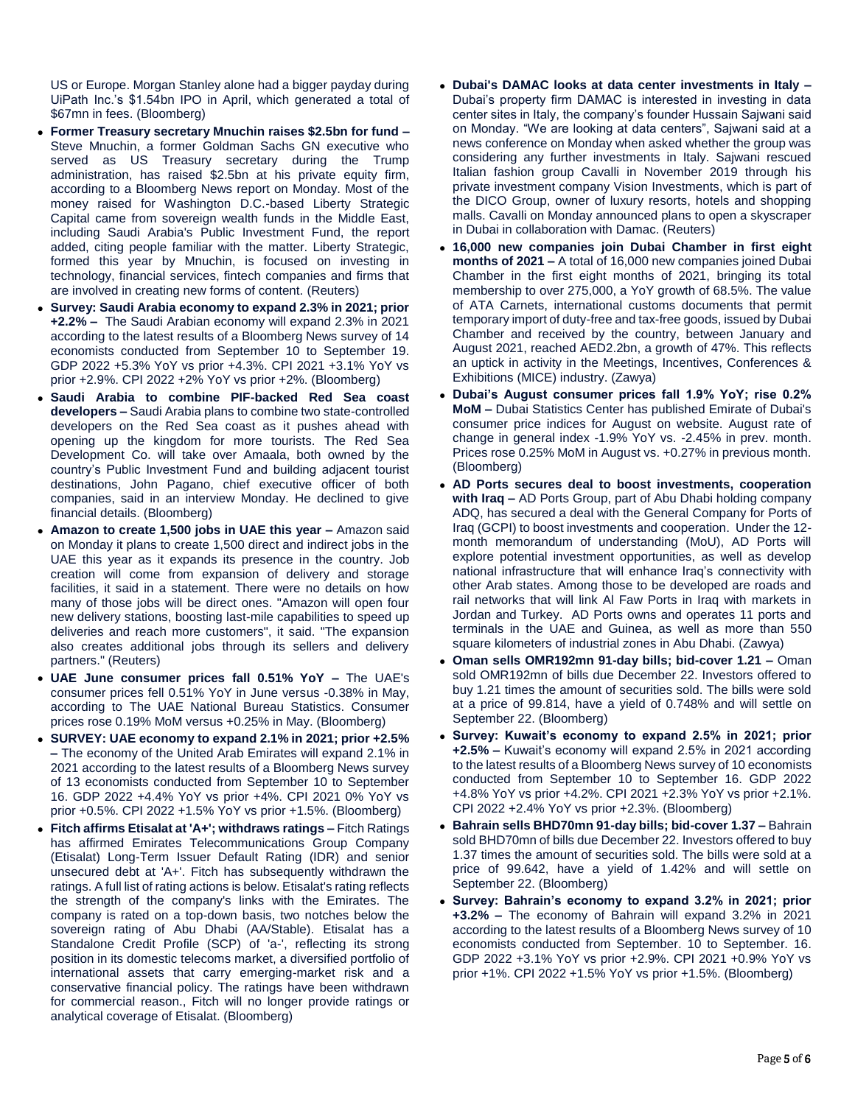US or Europe. Morgan Stanley alone had a bigger payday during UiPath Inc.'s \$1.54bn IPO in April, which generated a total of \$67mn in fees. (Bloomberg)

- **Former Treasury secretary Mnuchin raises \$2.5bn for fund –** Steve Mnuchin, a former Goldman Sachs GN executive who served as US Treasury secretary during the Trump administration, has raised \$2.5bn at his private equity firm, according to a Bloomberg News report on Monday. Most of the money raised for Washington D.C.-based Liberty Strategic Capital came from sovereign wealth funds in the Middle East, including Saudi Arabia's Public Investment Fund, the report added, citing people familiar with the matter. Liberty Strategic, formed this year by Mnuchin, is focused on investing in technology, financial services, fintech companies and firms that are involved in creating new forms of content. (Reuters)
- **Survey: Saudi Arabia economy to expand 2.3% in 2021; prior +2.2% –** The Saudi Arabian economy will expand 2.3% in 2021 according to the latest results of a Bloomberg News survey of 14 economists conducted from September 10 to September 19. GDP 2022 +5.3% YoY vs prior +4.3%. CPI 2021 +3.1% YoY vs prior +2.9%. CPI 2022 +2% YoY vs prior +2%. (Bloomberg)
- **Saudi Arabia to combine PIF-backed Red Sea coast developers –** Saudi Arabia plans to combine two state-controlled developers on the Red Sea coast as it pushes ahead with opening up the kingdom for more tourists. The Red Sea Development Co. will take over Amaala, both owned by the country's Public Investment Fund and building adjacent tourist destinations, John Pagano, chief executive officer of both companies, said in an interview Monday. He declined to give financial details. (Bloomberg)
- **Amazon to create 1,500 jobs in UAE this year –** Amazon said on Monday it plans to create 1,500 direct and indirect jobs in the UAE this year as it expands its presence in the country. Job creation will come from expansion of delivery and storage facilities, it said in a statement. There were no details on how many of those jobs will be direct ones. "Amazon will open four new delivery stations, boosting last-mile capabilities to speed up deliveries and reach more customers", it said. "The expansion also creates additional jobs through its sellers and delivery partners." (Reuters)
- **UAE June consumer prices fall 0.51% YoY –** The UAE's consumer prices fell 0.51% YoY in June versus -0.38% in May, according to The UAE National Bureau Statistics. Consumer prices rose 0.19% MoM versus +0.25% in May. (Bloomberg)
- **SURVEY: UAE economy to expand 2.1% in 2021; prior +2.5% –** The economy of the United Arab Emirates will expand 2.1% in 2021 according to the latest results of a Bloomberg News survey of 13 economists conducted from September 10 to September 16. GDP 2022 +4.4% YoY vs prior +4%. CPI 2021 0% YoY vs prior +0.5%. CPI 2022 +1.5% YoY vs prior +1.5%. (Bloomberg)
- **Fitch affirms Etisalat at 'A+'; withdraws ratings –** Fitch Ratings has affirmed Emirates Telecommunications Group Company (Etisalat) Long-Term Issuer Default Rating (IDR) and senior unsecured debt at 'A+'. Fitch has subsequently withdrawn the ratings. A full list of rating actions is below. Etisalat's rating reflects the strength of the company's links with the Emirates. The company is rated on a top-down basis, two notches below the sovereign rating of Abu Dhabi (AA/Stable). Etisalat has a Standalone Credit Profile (SCP) of 'a-', reflecting its strong position in its domestic telecoms market, a diversified portfolio of international assets that carry emerging-market risk and a conservative financial policy. The ratings have been withdrawn for commercial reason., Fitch will no longer provide ratings or analytical coverage of Etisalat. (Bloomberg)
- **Dubai's DAMAC looks at data center investments in Italy –** Dubai's property firm DAMAC is interested in investing in data center sites in Italy, the company's founder Hussain Sajwani said on Monday. "We are looking at data centers", Sajwani said at a news conference on Monday when asked whether the group was considering any further investments in Italy. Sajwani rescued Italian fashion group Cavalli in November 2019 through his private investment company Vision Investments, which is part of the DICO Group, owner of luxury resorts, hotels and shopping malls. Cavalli on Monday announced plans to open a skyscraper in Dubai in collaboration with Damac. (Reuters)
- **16,000 new companies join Dubai Chamber in first eight months of 2021 –** A total of 16,000 new companies joined Dubai Chamber in the first eight months of 2021, bringing its total membership to over 275,000, a YoY growth of 68.5%. The value of ATA Carnets, international customs documents that permit temporary import of duty-free and tax-free goods, issued by Dubai Chamber and received by the country, between January and August 2021, reached AED2.2bn, a growth of 47%. This reflects an uptick in activity in the Meetings, Incentives, Conferences & Exhibitions (MICE) industry. (Zawya)
- **Dubai's August consumer prices fall 1.9% YoY; rise 0.2% MoM –** Dubai Statistics Center has published Emirate of Dubai's consumer price indices for August on website. August rate of change in general index -1.9% YoY vs. -2.45% in prev. month. Prices rose 0.25% MoM in August vs. +0.27% in previous month. (Bloomberg)
- **AD Ports secures deal to boost investments, cooperation with Iraq –** AD Ports Group, part of Abu Dhabi holding company ADQ, has secured a deal with the General Company for Ports of Iraq (GCPI) to boost investments and cooperation. Under the 12 month memorandum of understanding (MoU), AD Ports will explore potential investment opportunities, as well as develop national infrastructure that will enhance Iraq's connectivity with other Arab states. Among those to be developed are roads and rail networks that will link Al Faw Ports in Iraq with markets in Jordan and Turkey. AD Ports owns and operates 11 ports and terminals in the UAE and Guinea, as well as more than 550 square kilometers of industrial zones in Abu Dhabi. (Zawya)
- **Oman sells OMR192mn 91-day bills; bid-cover 1.21 –** Oman sold OMR192mn of bills due December 22. Investors offered to buy 1.21 times the amount of securities sold. The bills were sold at a price of 99.814, have a yield of 0.748% and will settle on September 22. (Bloomberg)
- **Survey: Kuwait's economy to expand 2.5% in 2021; prior +2.5% –** Kuwait's economy will expand 2.5% in 2021 according to the latest results of a Bloomberg News survey of 10 economists conducted from September 10 to September 16. GDP 2022 +4.8% YoY vs prior +4.2%. CPI 2021 +2.3% YoY vs prior +2.1%. CPI 2022 +2.4% YoY vs prior +2.3%. (Bloomberg)
- **Bahrain sells BHD70mn 91-day bills; bid-cover 1.37 –** Bahrain sold BHD70mn of bills due December 22. Investors offered to buy 1.37 times the amount of securities sold. The bills were sold at a price of 99.642, have a yield of 1.42% and will settle on September 22. (Bloomberg)
- **Survey: Bahrain's economy to expand 3.2% in 2021; prior +3.2% –** The economy of Bahrain will expand 3.2% in 2021 according to the latest results of a Bloomberg News survey of 10 economists conducted from September. 10 to September. 16. GDP 2022 +3.1% YoY vs prior +2.9%. CPI 2021 +0.9% YoY vs prior +1%. CPI 2022 +1.5% YoY vs prior +1.5%. (Bloomberg)